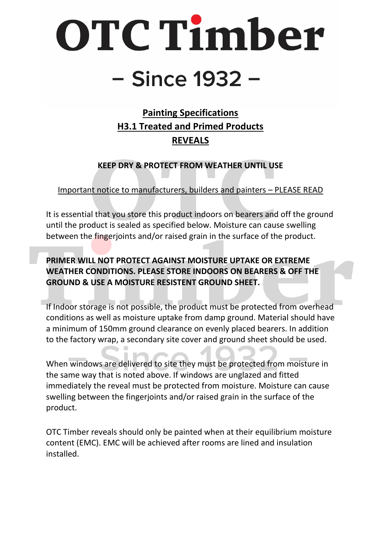# OTC Timber

## - Since 1932 -

### **Painting Specifications H3.1 Treated and Primed Products REVEALS**

**KEEP DRY & PROTECT FROM WEATHER UNTIL USE**

Important notice to manufacturers, builders and painters – PLEASE READ

It is essential that you store this product indoors on bearers and off the ground until the product is sealed as specified below. Moisture can cause swelling between the fingerjoints and/or raised grain in the surface of the product.

**PRIMER WILL NOT PROTECT AGAINST MOISTURE UPTAKE OR EXTREME WEATHER CONDITIONS. PLEASE STORE INDOORS ON BEARERS & OFF THE GROUND & USE A MOISTURE RESISTENT GROUND SHEET.** 

If Indoor storage is not possible, the product must be protected from overhead conditions as well as moisture uptake from damp ground. Material should have a minimum of 150mm ground clearance on evenly placed bearers. In addition to the factory wrap, a secondary site cover and ground sheet should be used.

When windows are delivered to site they must be protected from moisture in the same way that is noted above. If windows are unglazed and fitted immediately the reveal must be protected from moisture. Moisture can cause swelling between the fingerjoints and/or raised grain in the surface of the product.

OTC Timber reveals should only be painted when at their equilibrium moisture content (EMC). EMC will be achieved after rooms are lined and insulation installed.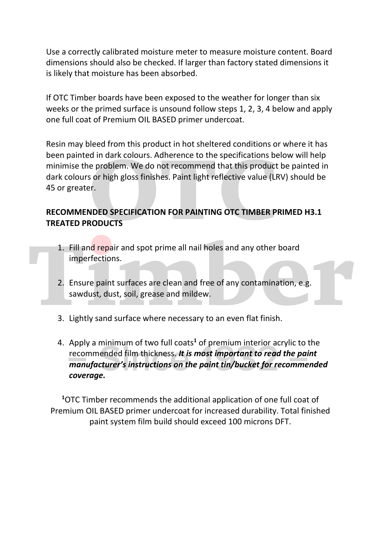Use a correctly calibrated moisture meter to measure moisture content. Board dimensions should also be checked. If larger than factory stated dimensions it is likely that moisture has been absorbed.

If OTC Timber boards have been exposed to the weather for longer than six weeks or the primed surface is unsound follow steps 1, 2, 3, 4 below and apply one full coat of Premium OIL BASED primer undercoat.

Resin may bleed from this product in hot sheltered conditions or where it has been painted in dark colours. Adherence to the specifications below will help minimise the problem. We do not recommend that this product be painted in dark colours or high gloss finishes. Paint light reflective value (LRV) should be 45 or greater.

#### **RECOMMENDED SPECIFICATION FOR PAINTING OTC TIMBER PRIMED H3.1 TREATED PRODUCTS**

- 1. Fill and repair and spot prime all nail holes and any other board imperfections.
- 2. Ensure paint surfaces are clean and free of any contamination, e.g. sawdust, dust, soil, grease and mildew.
- 3. Lightly sand surface where necessary to an even flat finish.
- 4. Apply a minimum of two full coats**<sup>1</sup>** of premium interior acrylic to the recommended film thickness. *It is most important to read the paint manufacturer's instructions on the paint tin/bucket for recommended coverage.*

**<sup>1</sup>**OTC Timber recommends the additional application of one full coat of Premium OIL BASED primer undercoat for increased durability. Total finished paint system film build should exceed 100 microns DFT.